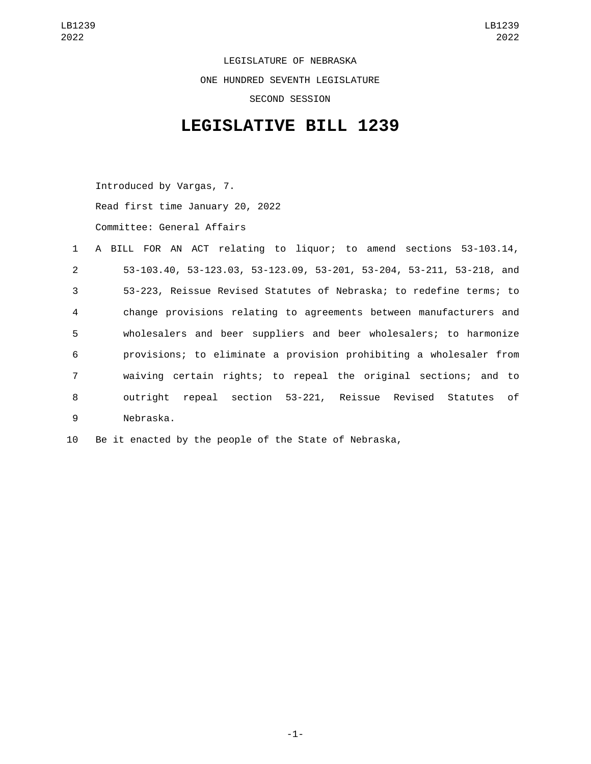LEGISLATURE OF NEBRASKA ONE HUNDRED SEVENTH LEGISLATURE SECOND SESSION

## **LEGISLATIVE BILL 1239**

Introduced by Vargas, 7. Read first time January 20, 2022 Committee: General Affairs

|                | 1 A BILL FOR AN ACT relating to liquor; to amend sections 53-103.14, |
|----------------|----------------------------------------------------------------------|
| $2^{\circ}$    | 53-103.40, 53-123.03, 53-123.09, 53-201, 53-204, 53-211, 53-218, and |
| $\mathbf{3}$   | 53-223, Reissue Revised Statutes of Nebraska; to redefine terms; to  |
| $\overline{4}$ | change provisions relating to agreements between manufacturers and   |
| 5              | wholesalers and beer suppliers and beer wholesalers; to harmonize    |
| 6              | provisions; to eliminate a provision prohibiting a wholesaler from   |
| 7 <sup>1</sup> | waiving certain rights; to repeal the original sections; and to      |
| 8              | repeal section 53-221, Reissue Revised Statutes of<br>outriaht       |
| 9              | Nebraska.                                                            |

10 Be it enacted by the people of the State of Nebraska,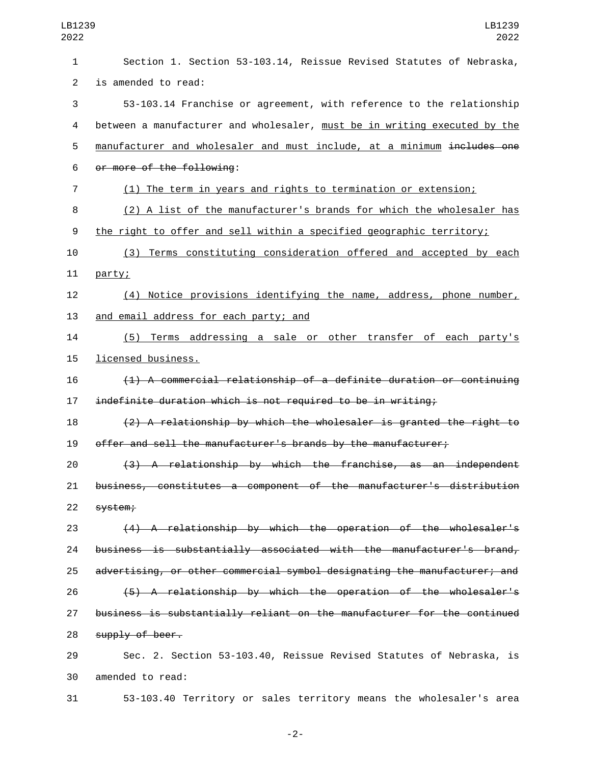Section 1. Section 53-103.14, Reissue Revised Statutes of Nebraska, 2 is amended to read: 53-103.14 Franchise or agreement, with reference to the relationship between a manufacturer and wholesaler, must be in writing executed by the 5 manufacturer and wholesaler and must include, at a minimum includes one 6 or more of the following: (1) The term in years and rights to termination or extension; (2) A list of the manufacturer's brands for which the wholesaler has the right to offer and sell within a specified geographic territory; (3) Terms constituting consideration offered and accepted by each 11 party; (4) Notice provisions identifying the name, address, phone number, 13 and email address for each party; and (5) Terms addressing a sale or other transfer of each party's 15 licensed business. (1) A commercial relationship of a definite duration or continuing indefinite duration which is not required to be in writing; (2) A relationship by which the wholesaler is granted the right to offer and sell the manufacturer's brands by the manufacturer; (3) A relationship by which the franchise, as an independent business, constitutes a component of the manufacturer's distribution 22 system; (4) A relationship by which the operation of the wholesaler's business is substantially associated with the manufacturer's brand, advertising, or other commercial symbol designating the manufacturer; and (5) A relationship by which the operation of the wholesaler's business is substantially reliant on the manufacturer for the continued 28 supply of beer. Sec. 2. Section 53-103.40, Reissue Revised Statutes of Nebraska, is

30 amended to read:

53-103.40 Territory or sales territory means the wholesaler's area

-2-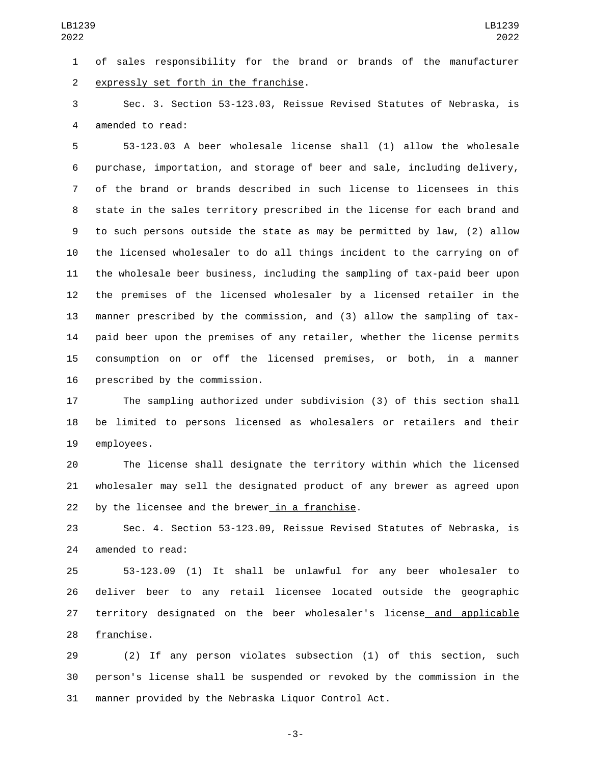of sales responsibility for the brand or brands of the manufacturer 2 expressly set forth in the franchise.

 Sec. 3. Section 53-123.03, Reissue Revised Statutes of Nebraska, is 4 amended to read:

 53-123.03 A beer wholesale license shall (1) allow the wholesale purchase, importation, and storage of beer and sale, including delivery, of the brand or brands described in such license to licensees in this state in the sales territory prescribed in the license for each brand and to such persons outside the state as may be permitted by law, (2) allow the licensed wholesaler to do all things incident to the carrying on of the wholesale beer business, including the sampling of tax-paid beer upon the premises of the licensed wholesaler by a licensed retailer in the manner prescribed by the commission, and (3) allow the sampling of tax- paid beer upon the premises of any retailer, whether the license permits consumption on or off the licensed premises, or both, in a manner 16 prescribed by the commission.

 The sampling authorized under subdivision (3) of this section shall be limited to persons licensed as wholesalers or retailers and their 19 employees.

 The license shall designate the territory within which the licensed wholesaler may sell the designated product of any brewer as agreed upon by the licensee and the brewer in a franchise.

 Sec. 4. Section 53-123.09, Reissue Revised Statutes of Nebraska, is 24 amended to read:

 53-123.09 (1) It shall be unlawful for any beer wholesaler to deliver beer to any retail licensee located outside the geographic territory designated on the beer wholesaler's license and applicable 28 franchise.

 (2) If any person violates subsection (1) of this section, such person's license shall be suspended or revoked by the commission in the manner provided by the Nebraska Liquor Control Act.

-3-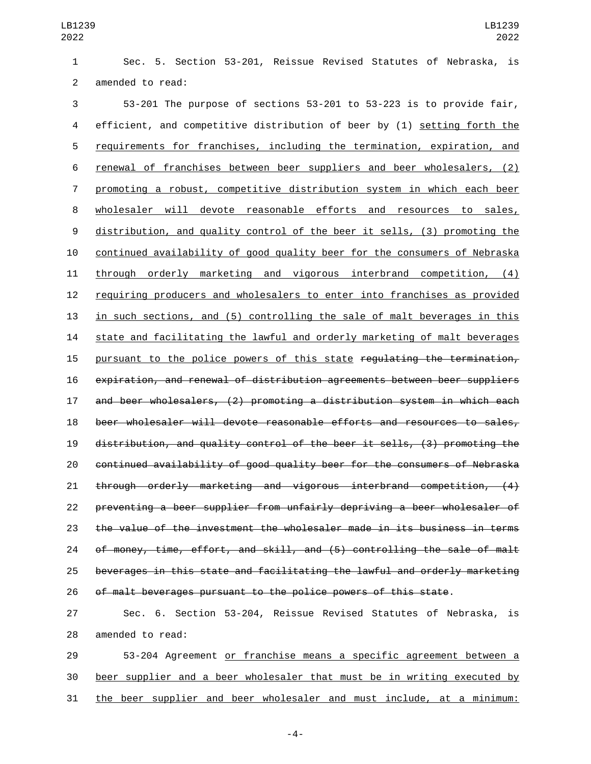Sec. 5. Section 53-201, Reissue Revised Statutes of Nebraska, is 2 amended to read:

 53-201 The purpose of sections 53-201 to 53-223 is to provide fair, efficient, and competitive distribution of beer by (1) setting forth the requirements for franchises, including the termination, expiration, and renewal of franchises between beer suppliers and beer wholesalers, (2) promoting a robust, competitive distribution system in which each beer wholesaler will devote reasonable efforts and resources to sales, distribution, and quality control of the beer it sells, (3) promoting the continued availability of good quality beer for the consumers of Nebraska through orderly marketing and vigorous interbrand competition, (4) requiring producers and wholesalers to enter into franchises as provided in such sections, and (5) controlling the sale of malt beverages in this state and facilitating the lawful and orderly marketing of malt beverages 15 pursuant to the police powers of this state regulating the termination, expiration, and renewal of distribution agreements between beer suppliers and beer wholesalers, (2) promoting a distribution system in which each beer wholesaler will devote reasonable efforts and resources to sales, distribution, and quality control of the beer it sells, (3) promoting the continued availability of good quality beer for the consumers of Nebraska through orderly marketing and vigorous interbrand competition, (4) preventing a beer supplier from unfairly depriving a beer wholesaler of the value of the investment the wholesaler made in its business in terms of money, time, effort, and skill, and (5) controlling the sale of malt beverages in this state and facilitating the lawful and orderly marketing of malt beverages pursuant to the police powers of this state.

 Sec. 6. Section 53-204, Reissue Revised Statutes of Nebraska, is 28 amended to read:

 53-204 Agreement or franchise means a specific agreement between a beer supplier and a beer wholesaler that must be in writing executed by the beer supplier and beer wholesaler and must include, at a minimum:

-4-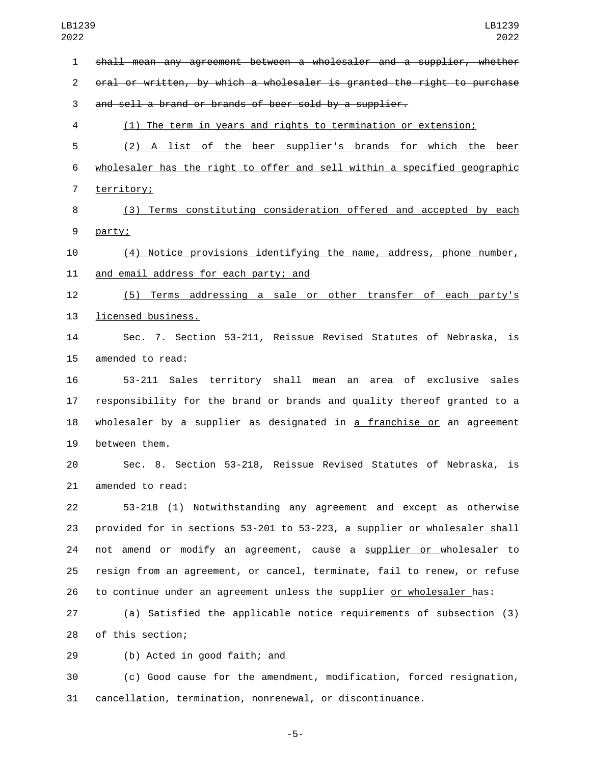shall mean any agreement between a wholesaler and a supplier, whether oral or written, by which a wholesaler is granted the right to purchase and sell a brand or brands of beer sold by a supplier. (1) The term in years and rights to termination or extension; (2) A list of the beer supplier's brands for which the beer wholesaler has the right to offer and sell within a specified geographic 7 territory; (3) Terms constituting consideration offered and accepted by each 9 party; (4) Notice provisions identifying the name, address, phone number, 11 and email address for each party; and (5) Terms addressing a sale or other transfer of each party's 13 licensed business. Sec. 7. Section 53-211, Reissue Revised Statutes of Nebraska, is 15 amended to read: 53-211 Sales territory shall mean an area of exclusive sales responsibility for the brand or brands and quality thereof granted to a 18 wholesaler by a supplier as designated in a franchise or an agreement 19 between them. Sec. 8. Section 53-218, Reissue Revised Statutes of Nebraska, is 21 amended to read: 53-218 (1) Notwithstanding any agreement and except as otherwise provided for in sections 53-201 to 53-223, a supplier or wholesaler shall 24 not amend or modify an agreement, cause a supplier or wholesaler to resign from an agreement, or cancel, terminate, fail to renew, or refuse to continue under an agreement unless the supplier or wholesaler has: (a) Satisfied the applicable notice requirements of subsection (3) 28 of this section; 29 (b) Acted in good faith; and (c) Good cause for the amendment, modification, forced resignation,

cancellation, termination, nonrenewal, or discontinuance.

-5-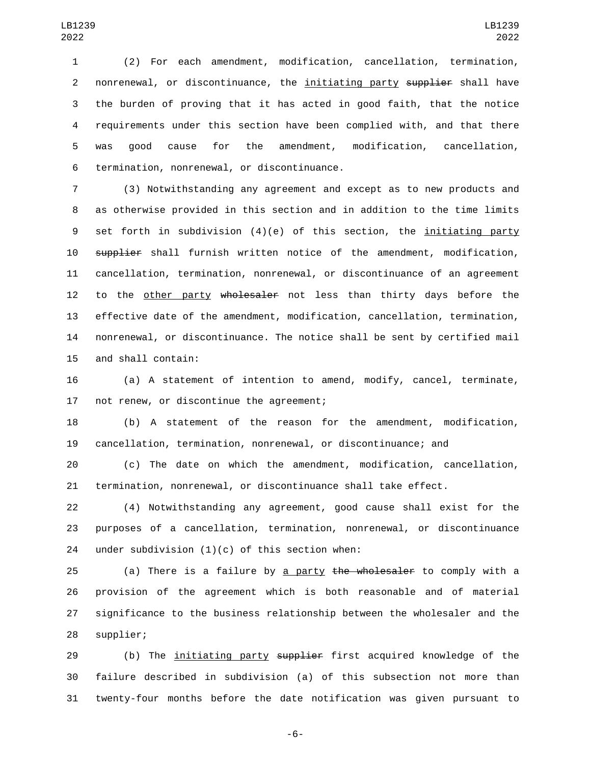(2) For each amendment, modification, cancellation, termination, 2 nonrenewal, or discontinuance, the initiating party supplier shall have the burden of proving that it has acted in good faith, that the notice requirements under this section have been complied with, and that there was good cause for the amendment, modification, cancellation, 6 termination, nonrenewal, or discontinuance.

 (3) Notwithstanding any agreement and except as to new products and as otherwise provided in this section and in addition to the time limits set forth in subdivision (4)(e) of this section, the initiating party 10 supplier shall furnish written notice of the amendment, modification, cancellation, termination, nonrenewal, or discontinuance of an agreement 12 to the other party wholesaler not less than thirty days before the effective date of the amendment, modification, cancellation, termination, nonrenewal, or discontinuance. The notice shall be sent by certified mail 15 and shall contain:

 (a) A statement of intention to amend, modify, cancel, terminate, 17 not renew, or discontinue the agreement;

 (b) A statement of the reason for the amendment, modification, cancellation, termination, nonrenewal, or discontinuance; and

 (c) The date on which the amendment, modification, cancellation, termination, nonrenewal, or discontinuance shall take effect.

 (4) Notwithstanding any agreement, good cause shall exist for the purposes of a cancellation, termination, nonrenewal, or discontinuance 24 under subdivision  $(1)(c)$  of this section when:

25 (a) There is a failure by a party the wholesaler to comply with a provision of the agreement which is both reasonable and of material significance to the business relationship between the wholesaler and the 28 supplier;

29 (b) The <u>initiating party</u> supplier first acquired knowledge of the failure described in subdivision (a) of this subsection not more than twenty-four months before the date notification was given pursuant to

-6-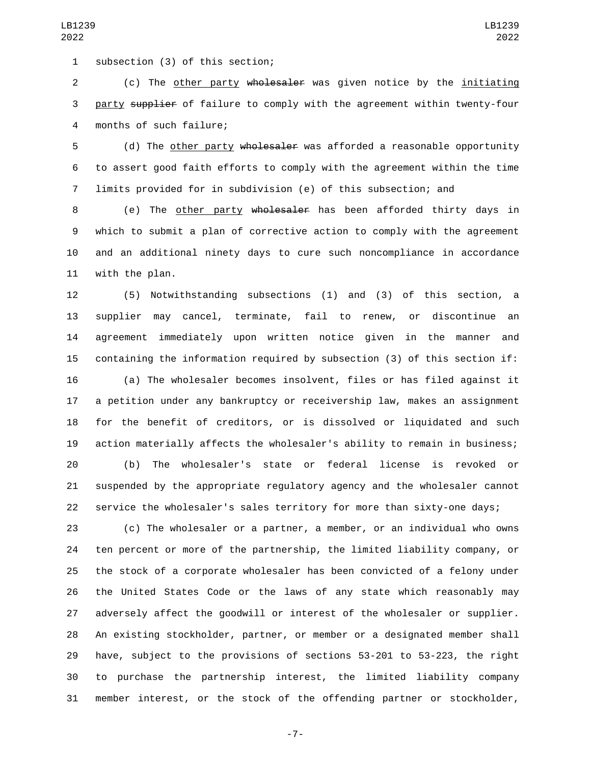1 subsection (3) of this section;

 (c) The other party wholesaler was given notice by the initiating 3 party supplier of failure to comply with the agreement within twenty-four 4 months of such failure;

5 (d) The other party wholesaler was afforded a reasonable opportunity to assert good faith efforts to comply with the agreement within the time limits provided for in subdivision (e) of this subsection; and

 (e) The other party wholesaler has been afforded thirty days in which to submit a plan of corrective action to comply with the agreement and an additional ninety days to cure such noncompliance in accordance 11 with the plan.

 (5) Notwithstanding subsections (1) and (3) of this section, a supplier may cancel, terminate, fail to renew, or discontinue an agreement immediately upon written notice given in the manner and containing the information required by subsection (3) of this section if:

 (a) The wholesaler becomes insolvent, files or has filed against it a petition under any bankruptcy or receivership law, makes an assignment for the benefit of creditors, or is dissolved or liquidated and such action materially affects the wholesaler's ability to remain in business;

 (b) The wholesaler's state or federal license is revoked or suspended by the appropriate regulatory agency and the wholesaler cannot service the wholesaler's sales territory for more than sixty-one days;

 (c) The wholesaler or a partner, a member, or an individual who owns ten percent or more of the partnership, the limited liability company, or the stock of a corporate wholesaler has been convicted of a felony under the United States Code or the laws of any state which reasonably may adversely affect the goodwill or interest of the wholesaler or supplier. An existing stockholder, partner, or member or a designated member shall have, subject to the provisions of sections 53-201 to 53-223, the right to purchase the partnership interest, the limited liability company member interest, or the stock of the offending partner or stockholder,

-7-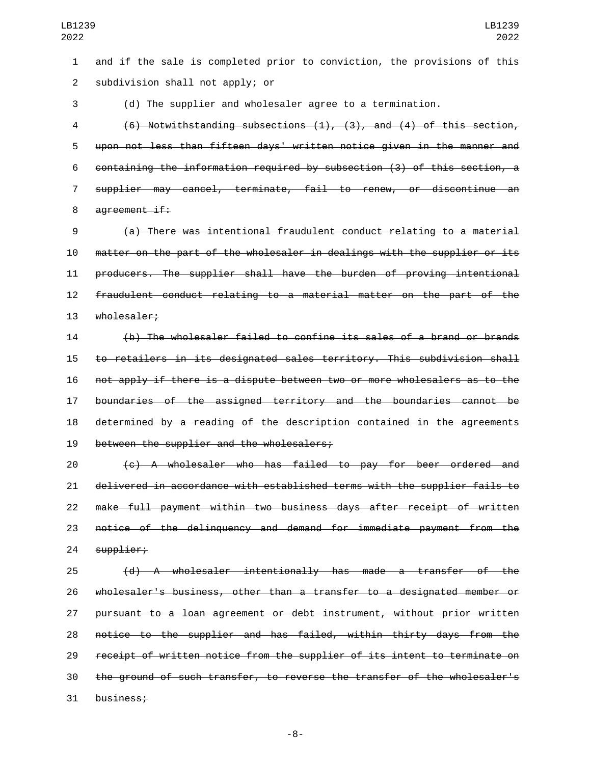and if the sale is completed prior to conviction, the provisions of this 2 subdivision shall not apply; or

(d) The supplier and wholesaler agree to a termination.

 (6) Notwithstanding subsections (1), (3), and (4) of this section, upon not less than fifteen days' written notice given in the manner and containing the information required by subsection (3) of this section, a supplier may cancel, terminate, fail to renew, or discontinue an 8 agreement if:

 (a) There was intentional fraudulent conduct relating to a material matter on the part of the wholesaler in dealings with the supplier or its producers. The supplier shall have the burden of proving intentional fraudulent conduct relating to a material matter on the part of the 13 wholesaler;

 (b) The wholesaler failed to confine its sales of a brand or brands to retailers in its designated sales territory. This subdivision shall not apply if there is a dispute between two or more wholesalers as to the boundaries of the assigned territory and the boundaries cannot be determined by a reading of the description contained in the agreements 19 between the supplier and the wholesalers;

 (c) A wholesaler who has failed to pay for beer ordered and delivered in accordance with established terms with the supplier fails to make full payment within two business days after receipt of written notice of the delinquency and demand for immediate payment from the 24 supplier;

 (d) A wholesaler intentionally has made a transfer of the wholesaler's business, other than a transfer to a designated member or pursuant to a loan agreement or debt instrument, without prior written notice to the supplier and has failed, within thirty days from the receipt of written notice from the supplier of its intent to terminate on the ground of such transfer, to reverse the transfer of the wholesaler's 31 business: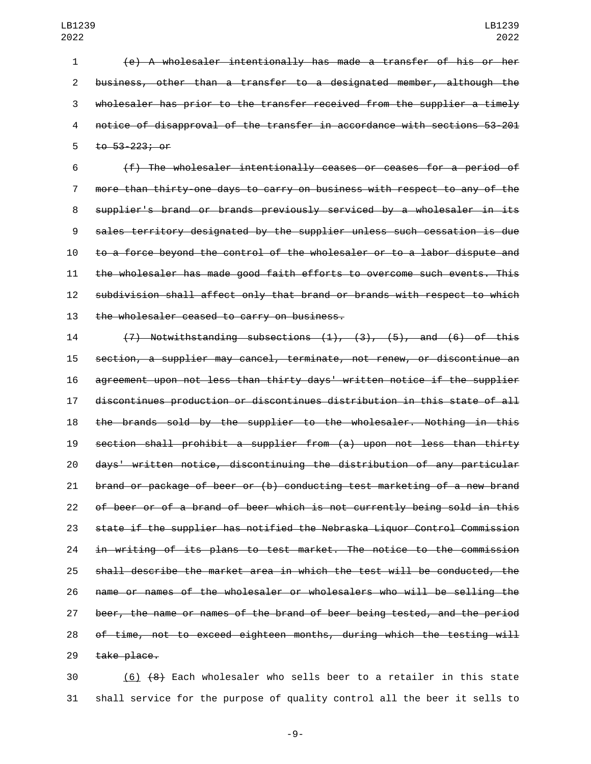(e) A wholesaler intentionally has made a transfer of his or her business, other than a transfer to a designated member, although the wholesaler has prior to the transfer received from the supplier a timely notice of disapproval of the transfer in accordance with sections 53-201 5 to 53-223; or

 (f) The wholesaler intentionally ceases or ceases for a period of more than thirty-one days to carry on business with respect to any of the supplier's brand or brands previously serviced by a wholesaler in its sales territory designated by the supplier unless such cessation is due to a force beyond the control of the wholesaler or to a labor dispute and the wholesaler has made good faith efforts to overcome such events. This subdivision shall affect only that brand or brands with respect to which 13 the wholesaler ceased to carry on business.

 (7) Notwithstanding subsections (1), (3), (5), and (6) of this section, a supplier may cancel, terminate, not renew, or discontinue an agreement upon not less than thirty days' written notice if the supplier discontinues production or discontinues distribution in this state of all the brands sold by the supplier to the wholesaler. Nothing in this section shall prohibit a supplier from (a) upon not less than thirty days' written notice, discontinuing the distribution of any particular brand or package of beer or (b) conducting test marketing of a new brand of beer or of a brand of beer which is not currently being sold in this state if the supplier has notified the Nebraska Liquor Control Commission in writing of its plans to test market. The notice to the commission shall describe the market area in which the test will be conducted, the name or names of the wholesaler or wholesalers who will be selling the beer, the name or names of the brand of beer being tested, and the period of time, not to exceed eighteen months, during which the testing will 29 take place.

 (6) (8) Each wholesaler who sells beer to a retailer in this state shall service for the purpose of quality control all the beer it sells to

-9-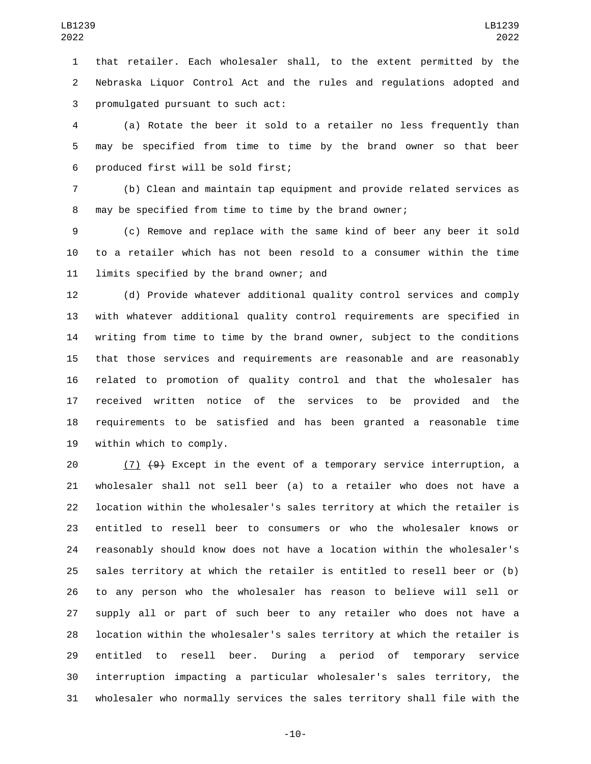that retailer. Each wholesaler shall, to the extent permitted by the Nebraska Liquor Control Act and the rules and regulations adopted and 3 promulgated pursuant to such act:

 (a) Rotate the beer it sold to a retailer no less frequently than may be specified from time to time by the brand owner so that beer 6 produced first will be sold first;

 (b) Clean and maintain tap equipment and provide related services as may be specified from time to time by the brand owner;

 (c) Remove and replace with the same kind of beer any beer it sold to a retailer which has not been resold to a consumer within the time 11 limits specified by the brand owner; and

 (d) Provide whatever additional quality control services and comply with whatever additional quality control requirements are specified in writing from time to time by the brand owner, subject to the conditions that those services and requirements are reasonable and are reasonably related to promotion of quality control and that the wholesaler has received written notice of the services to be provided and the requirements to be satisfied and has been granted a reasonable time 19 within which to comply.

 $(7)$   $(9)$  Except in the event of a temporary service interruption, a wholesaler shall not sell beer (a) to a retailer who does not have a location within the wholesaler's sales territory at which the retailer is entitled to resell beer to consumers or who the wholesaler knows or reasonably should know does not have a location within the wholesaler's sales territory at which the retailer is entitled to resell beer or (b) to any person who the wholesaler has reason to believe will sell or supply all or part of such beer to any retailer who does not have a location within the wholesaler's sales territory at which the retailer is entitled to resell beer. During a period of temporary service interruption impacting a particular wholesaler's sales territory, the wholesaler who normally services the sales territory shall file with the

-10-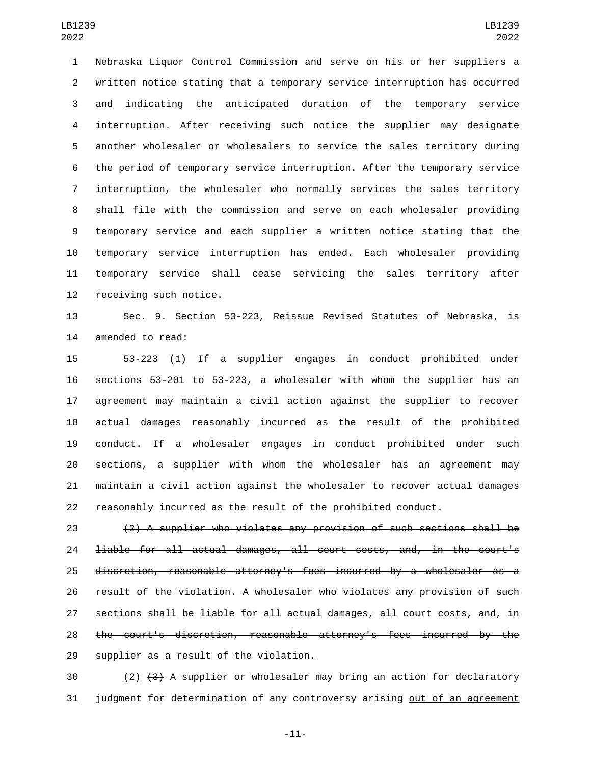Nebraska Liquor Control Commission and serve on his or her suppliers a written notice stating that a temporary service interruption has occurred and indicating the anticipated duration of the temporary service interruption. After receiving such notice the supplier may designate another wholesaler or wholesalers to service the sales territory during the period of temporary service interruption. After the temporary service interruption, the wholesaler who normally services the sales territory shall file with the commission and serve on each wholesaler providing temporary service and each supplier a written notice stating that the temporary service interruption has ended. Each wholesaler providing temporary service shall cease servicing the sales territory after 12 receiving such notice.

 Sec. 9. Section 53-223, Reissue Revised Statutes of Nebraska, is 14 amended to read:

 53-223 (1) If a supplier engages in conduct prohibited under sections 53-201 to 53-223, a wholesaler with whom the supplier has an agreement may maintain a civil action against the supplier to recover actual damages reasonably incurred as the result of the prohibited conduct. If a wholesaler engages in conduct prohibited under such sections, a supplier with whom the wholesaler has an agreement may maintain a civil action against the wholesaler to recover actual damages reasonably incurred as the result of the prohibited conduct.

 (2) A supplier who violates any provision of such sections shall be liable for all actual damages, all court costs, and, in the court's discretion, reasonable attorney's fees incurred by a wholesaler as a result of the violation. A wholesaler who violates any provision of such sections shall be liable for all actual damages, all court costs, and, in the court's discretion, reasonable attorney's fees incurred by the 29 supplier as a result of the violation.

 (2)  $(3)$  A supplier or wholesaler may bring an action for declaratory judgment for determination of any controversy arising out of an agreement

-11-